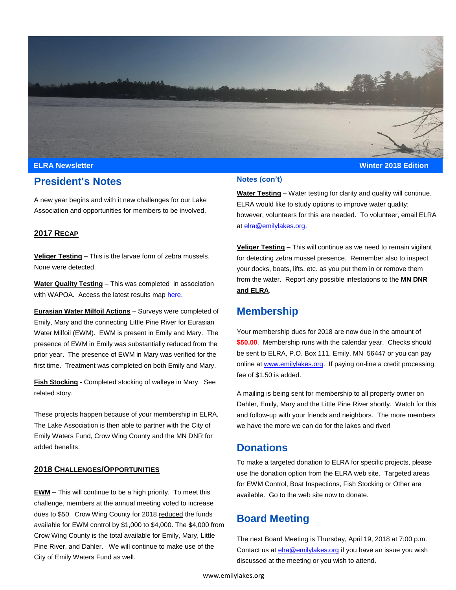

### **ELRA Newsletter Winter 2018 Edition**

## **President's Notes**

A new year begins and with it new challenges for our Lake Association and opportunities for members to be involved.

### **2017 RECAP**

**Veliger Testing** – This is the larvae form of zebra mussels. None were detected.

**Water Quality Testing** – This was completed in association with WAPOA. Access the latest results map [here.](https://minnesotawaters.org/whitefishareapropertyowners/whitefish-area-water-quality-map/)

**Eurasian Water Milfoil Actions** – Surveys were completed of Emily, Mary and the connecting Little Pine River for Eurasian Water Milfoil (EWM). EWM is present in Emily and Mary. The presence of EWM in Emily was substantially reduced from the prior year. The presence of EWM in Mary was verified for the first time. Treatment was completed on both Emily and Mary.

**Fish Stocking** - Completed stocking of walleye in Mary. See related story.

These projects happen because of your membership in ELRA. The Lake Association is then able to partner with the City of Emily Waters Fund, Crow Wing County and the MN DNR for added benefits.

#### **2018 CHALLENGES/OPPORTUNITIES**

**EWM** – This will continue to be a high priority. To meet this challenge, members at the annual meeting voted to increase dues to \$50. Crow Wing County for 2018 reduced the funds available for EWM control by \$1,000 to \$4,000. The \$4,000 from Crow Wing County is the total available for Emily, Mary, Little Pine River, and Dahler. We will continue to make use of the City of Emily Waters Fund as well.

#### **Notes (con't)**

**Water Testing** – Water testing for clarity and quality will continue. ELRA would like to study options to improve water quality; however, volunteers for this are needed. To volunteer, email ELRA at [elra@emilylakes.org.](mailto:elra@emilylakes.org)

**Veliger Testing** – This will continue as we need to remain vigilant for detecting zebra mussel presence. Remember also to inspect your docks, boats, lifts, etc. as you put them in or remove them from the water. Report any possible infestations to the **MN DNR and ELRA**.

## **Membership**

Your membership dues for 2018 are now due in the amount of **\$50.00**. Membership runs with the calendar year. Checks should be sent to ELRA, P.O. Box 111, Emily, MN 56447 or you can pay online a[t www.emilylakes.org.](http://www.emilylakes.org/) If paying on-line a credit processing fee of \$1.50 is added.

A mailing is being sent for membership to all property owner on Dahler, Emily, Mary and the Little Pine River shortly. Watch for this and follow-up with your friends and neighbors. The more members we have the more we can do for the lakes and river!

### **Donations**

To make a targeted donation to ELRA for specific projects, please use the donation option from the ELRA web site. Targeted areas for EWM Control, Boat Inspections, Fish Stocking or Other are available. Go to the web site now to donate.

## **Board Meeting**

The next Board Meeting is Thursday, April 19, 2018 at 7:00 p.m. Contact us a[t elra@emilylakes.org](mailto:elra@emilylakes.org) if you have an issue you wish discussed at the meeting or you wish to attend.